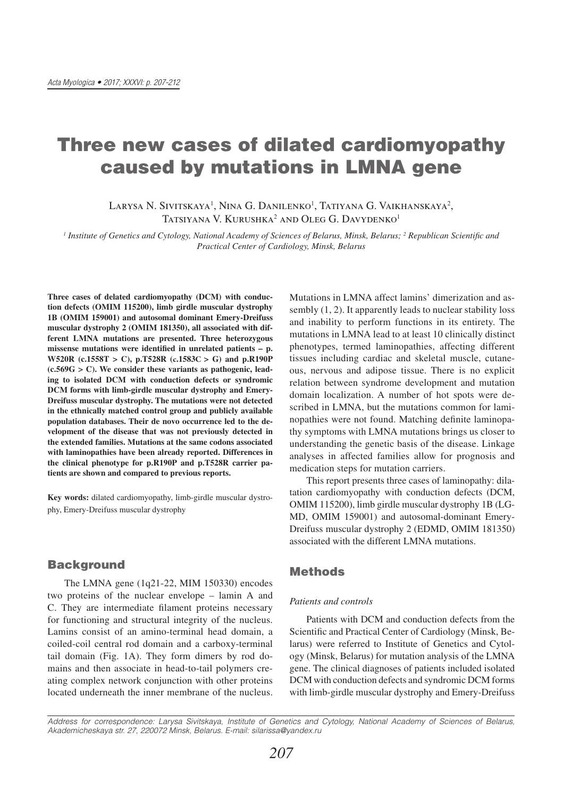# Three new cases of dilated cardiomyopathy caused by mutations in LMNA gene

Larysa N. Sivitskaya<sup>1</sup>, Nina G. Danilenko<sup>1</sup>, Tatiyana G. Vaikhanskaya<sup>2</sup>, Tatsiyana V. Kurushka<sup>2</sup> and Oleg G. Davydenko<sup>1</sup>

<sup>1</sup> Institute of Genetics and Cytology, National Academy of Sciences of Belarus, Minsk, Belarus; <sup>2</sup> Republican Scientific and *Practical Center of Cardiology, Minsk, Belarus*

**Three cases of delated cardiomyopathy (DCM) with conduction defects (OMIM 115200), limb girdle muscular dystrophy 1B (OMIM 159001) and autosomal dominant Emery-Dreifuss muscular dystrophy 2 (OMIM 181350), all associated with different LMNA mutations are presented. Three heterozygous missense mutations were identified in unrelated patients – p. W520R (c.1558T > C), p.T528R (**с**.1583**С **> G) and p.R190P (c.569G > C). We consider these variants as pathogenic, leading to isolated DCM with conduction defects or syndromic DCM forms with limb-girdle muscular dystrophy and Emery-Dreifuss muscular dystrophy. The mutations were not detected in the ethnically matched control group and publicly available population databases. Their de novo occurrence led to the development of the disease that was not previously detected in the extended families. Mutations at the same codons associated with laminopathies have been already reported. Differences in the clinical phenotype for p.R190P and p.T528R carrier patients are shown and compared to previous reports.** 

**Key words:** dilated cardiomyopathy, limb-girdle muscular dystrophy, Emery-Dreifuss muscular dystrophy

## **Background**

The LMNA gene (1q21-22, MIM 150330) encodes two proteins of the nuclear envelope – lamin A and C. They are intermediate filament proteins necessary for functioning and structural integrity of the nucleus. Lamins consist of an amino-terminal head domain, a coiled-coil central rod domain and a carboxy-terminal tail domain (Fig. 1A). They form dimers by rod domains and then associate in head-to-tail polymers creating complex network conjunction with other proteins located underneath the inner membrane of the nucleus.

Mutations in LMNA affect lamins' dimerization and assembly (1, 2). It apparently leads to nuclear stability loss and inability to perform functions in its entirety. The mutations in LMNA lead to at least 10 clinically distinct phenotypes, termed laminopathies, affecting different tissues including cardiac and skeletal muscle, cutaneous, nervous and adipose tissue. There is no explicit relation between syndrome development and mutation domain localization. A number of hot spots were described in LMNA, but the mutations common for laminopathies were not found. Matching definite laminopathy symptoms with LMNA mutations brings us closer to understanding the genetic basis of the disease. Linkage analyses in affected families allow for prognosis and medication steps for mutation carriers.

This report presents three cases of laminopathy: dilatation cardiomyopathy with conduction defects (DCM, OMIM 115200), limb girdle muscular dystrophy 1B (LG-MD, OMIM 159001) and autosomal-dominant Emery-Dreifuss muscular dystrophy 2 (EDMD, OMIM 181350) associated with the different LMNA mutations.

## Methods

## *Patients and controls*

Patients with DCM and conduction defects from the Scientific and Practical Center of Cardiology (Minsk, Belarus) were referred to Institute of Genetics and Cytology (Minsk, Belarus) for mutation analysis of the LMNA gene. The clinical diagnoses of patients included isolated DCM with conduction defects and syndromic DCM forms with limb-girdle muscular dystrophy and Emery-Dreifuss

*Address for correspondence: Larysa Sivitskaya, Institute of Genetics and Cytology, National Academy of Sciences of Belarus, Akademicheskaya str. 27, 220072 Minsk, Belarus. E-mail: silarissa@yandex.ru*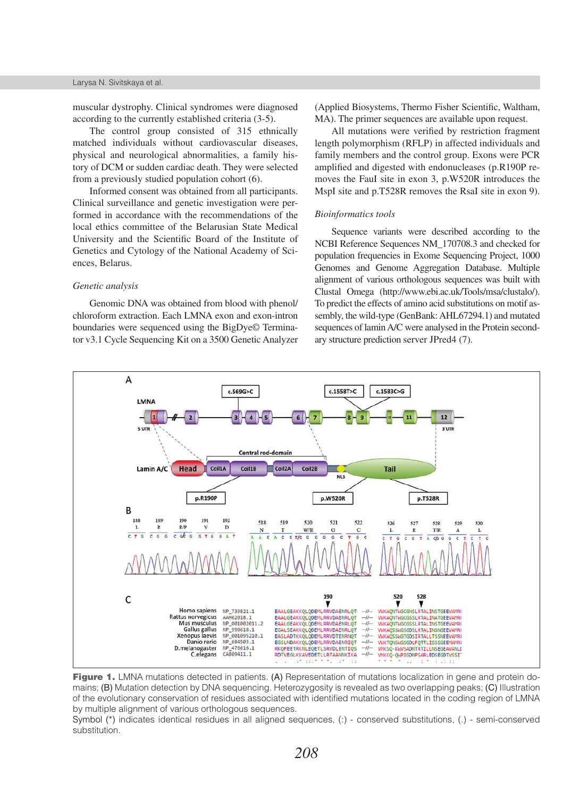muscular dystrophy. Clinical syndromes were diagnosed according to the currently established criteria (3-5).

The control group consisted of 315 ethnically matched individuals without cardiovascular diseases, physical and neurological abnormalities, a family history of DCM or sudden cardiac death. They were selected from a previously studied population cohort (6).

Informed consent was obtained from all participants. Clinical surveillance and genetic investigation were performed in accordance with the recommendations of the local ethics committee of the Belarusian State Medical University and the Scientific Board of the Institute of Genetics and Cytology of the National Academy of Sciences, Belarus.

### *Genetic analysis*

Genomic DNA was obtained from blood with phenol/ chloroform extraction. Each LMNA exon and exon-intron boundaries were sequenced using the BigDye© Terminator v3.1 Cycle Sequencing Kit on a 3500 Genetic Analyzer (Applied Biosystems, Thermo Fisher Scientific, Waltham, MA). The primer sequences are available upon request.

All mutations were verified by restriction fragment length polymorphism (RFLP) in affected individuals and family members and the control group. Exons were PCR amplified and digested with endonucleases (p.R190P removes the FauI site in exon 3, p.W520R introduces the MspI site and p.T528R removes the RsaI site in exon 9).

#### *Bioinformatics tools*

Sequence variants were described according to the NCBI Reference Sequences NM\_170708.3 and checked for population frequencies in Exome Sequencing Project, 1000 Genomes and Genome Aggregation Database. Multiple alignment of various orthologous sequences was built with Clustal Omega (http://www.ebi.ac.uk/Tools/msa/clustalo/). To predict the effects of amino acid substitutions on motif assembly, the wild-type (GenBank: AHL67294.1) and mutated sequences of lamin A/C were analysed in the Protein secondary structure prediction server JPred4 (7).



**Figure 1.** LMNA mutations detected in patients. (A) Representation of mutations localization in gene and protein domains; (B) Mutation detection by DNA sequencing. Heterozygosity is revealed as two overlapping peaks; (C) Illustration of the evolutionary conservation of residues associated with identified mutations located in the coding region of LMNA by multiple alignment of various orthologous sequences.

Symbol (\*) indicates identical residues in all aligned sequences, (:) - conserved substitutions, (.) - semi-conserved substitution.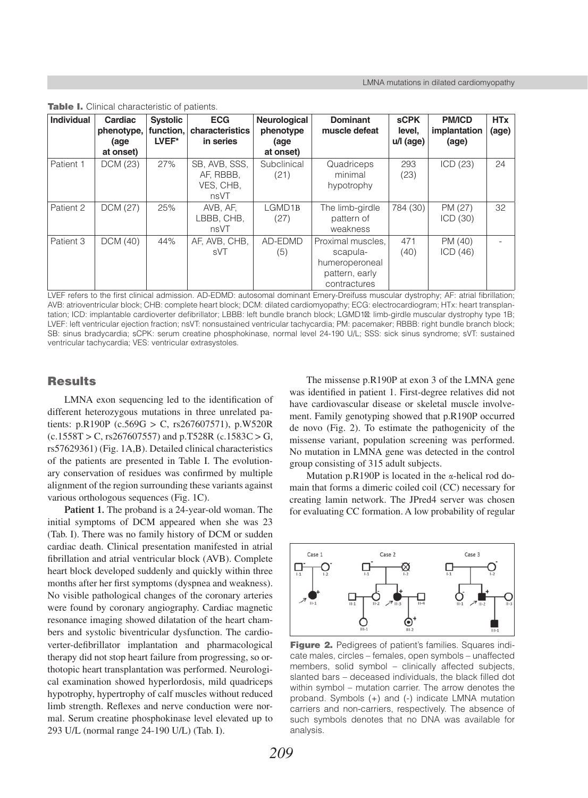| <b>Individual</b> | Cardiac<br>phenotype,<br>(age | <b>Systolic</b><br>function,<br>LVEF* | <b>ECG</b><br>characteristics<br>in series      | Neurological<br>phenotype<br>(age | <b>Dominant</b><br>muscle defeat                                                  | <b>sCPK</b><br>level,<br>$u/l$ (age) | <b>PM/ICD</b><br>implantation<br>(age) | HTx<br>(age) |
|-------------------|-------------------------------|---------------------------------------|-------------------------------------------------|-----------------------------------|-----------------------------------------------------------------------------------|--------------------------------------|----------------------------------------|--------------|
|                   | at onset)                     |                                       |                                                 | at onset)                         |                                                                                   |                                      |                                        |              |
| Patient 1         | DCM (23)                      | 27%                                   | SB, AVB, SSS,<br>AF, RBBB,<br>VES, CHB,<br>nsVT | Subclinical<br>(21)               | Quadriceps<br>minimal<br>hypotrophy                                               | 293<br>(23)                          | ICD(23)                                | 24           |
| Patient 2         | DCM (27)                      | 25%                                   | AVB. AF.<br>LBBB, CHB,<br>nsVT                  | LGMD1B<br>(27)                    | The limb-girdle<br>pattern of<br>weakness                                         | 784 (30)                             | PM (27)<br>ICD(30)                     | 32           |
| Patient 3         | DCM (40)                      | 44%                                   | AF, AVB, CHB,<br>sVT                            | AD-EDMD<br>(5)                    | Proximal muscles.<br>scapula-<br>humeroperoneal<br>pattern, early<br>contractures | 471<br>(40)                          | PM (40)<br>ICD(46)                     |              |

Table I. Clinical characteristic of patients.

LVEF refers to the first clinical admission. AD-EDMD: autosomal dominant Emery-Dreifuss muscular dystrophy; AF: atrial fibrillation; AVB: atrioventricular block; CHB: complete heart block; DCM: dilated cardiomyopathy; ECG: electrocardiogram; HTx: heart transplantation; ICD: implantable cardioverter defibrillator; LBBB: left bundle branch block; LGMD1: limb-girdle muscular dystrophy type 1B; LVEF: left ventricular ejection fraction; nsVT: nonsustained ventricular tachycardia; PM: pacemaker; RBBB: right bundle branch block; SB: sinus bradycardia; sCPK: serum creatine phosphokinase, normal level 24-190 U/L; SSS: sick sinus syndrome; sVT: sustained ventricular tachycardia; VES: ventricular extrasystoles.

# **Results**

LMNA exon sequencing led to the identification of different heterozygous mutations in three unrelated patients: p.R190P (c.569G > C, rs267607571), p.W520R  $(c.1558T > C, rs267607557)$  and p.T528R  $(c.1583C > G,$ rs57629361) (Fig. 1A,B). Detailed clinical characteristics of the patients are presented in Table I. The evolutionary conservation of residues was confirmed by multiple alignment of the region surrounding these variants against various orthologous sequences (Fig. 1C).

**Patient 1.** The proband is a 24-year-old woman. The initial symptoms of DCM appeared when she was 23 (Tab. I). There was no family history of DCM or sudden cardiac death. Clinical presentation manifested in atrial fibrillation and atrial ventricular block (AVB). Complete heart block developed suddenly and quickly within three months after her first symptoms (dyspnea and weakness). No visible pathological changes of the coronary arteries were found by coronary angiography. Cardiac magnetic resonance imaging showed dilatation of the heart chambers and systolic biventricular dysfunction. The cardioverter-defibrillator implantation and pharmacological therapy did not stop heart failure from progressing, so orthotopic heart transplantation was performed. Neurological examination showed hyperlordosis, mild quadriceps hypotrophy, hypertrophy of calf muscles without reduced limb strength. Reflexes and nerve conduction were normal. Serum creatine phosphokinase level elevated up to 293 U/L (normal range 24-190 U/L) (Tab. I).

The missense p.R190P at exon 3 of the LMNA gene was identified in patient 1. First-degree relatives did not have cardiovascular disease or skeletal muscle involvement. Family genotyping showed that p.R190P occurred de novo (Fig. 2). To estimate the pathogenicity of the missense variant, population screening was performed. No mutation in LMNA gene was detected in the control group consisting of 315 adult subjects.

Mutation p.R190P is located in the  $\alpha$ -helical rod domain that forms a dimeric coiled coil (CC) necessary for creating lamin network. The JPred4 server was chosen for evaluating CC formation. A low probability of regular



Figure 2. Pedigrees of patient's families. Squares indicate males, circles – females, open symbols – unaffected members, solid symbol – clinically affected subjects, slanted bars – deceased individuals, the black filled dot within symbol – mutation carrier. The arrow denotes the proband. Symbols (+) and (-) indicate LMNA mutation carriers and non-carriers, respectively. The absence of such symbols denotes that no DNA was available for analysis.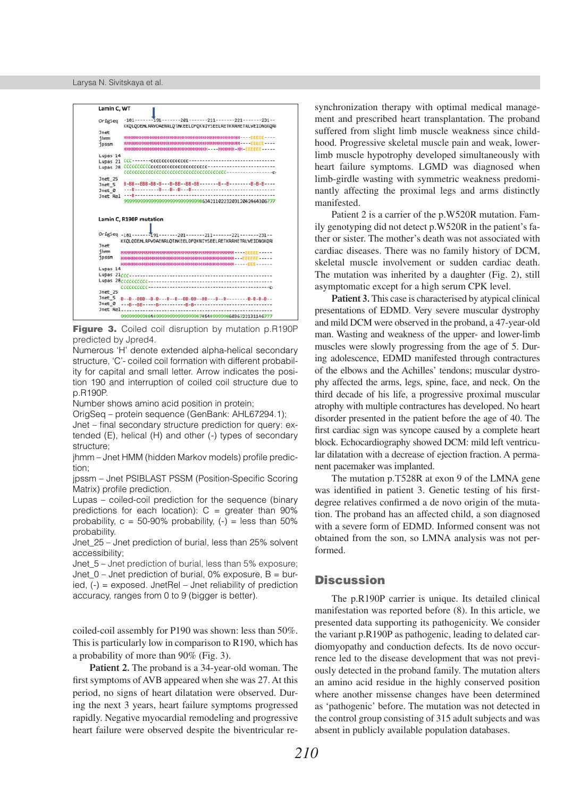

**Figure 3.** Coiled coil disruption by mutation p.R190P predicted by Jpred4.

Numerous 'H' denote extended alpha-helical secondary structure, 'C'- coiled coil formation with different probability for capital and small letter. Arrow indicates the position 190 and interruption of coiled coil structure due to p.R190P.

Number shows amino acid position in protein;

OrigSeq – protein sequence (GenBank: AHL67294.1); Jnet – final secondary structure prediction for query: extended (E), helical (H) and other (-) types of secondary structure;

jhmm – Jnet HMM (hidden Markov models) profile prediction;

jpssm – Jnet PSIBLAST PSSM (Position-Specific Scoring Matrix) profile prediction.

Lupas – coiled-coil prediction for the sequence (binary predictions for each location):  $C =$  greater than 90% probability,  $c = 50-90\%$  probability,  $(-) =$  less than 50% probability.

Jnet\_25 – Jnet prediction of burial, less than 25% solvent accessibility;

Jnet\_5 – Jnet prediction of burial, less than 5% exposure; Jnet  $0$  – Jnet prediction of burial, 0% exposure, B = buried,  $(-)$  = exposed. JnetRel – Jnet reliability of prediction accuracy, ranges from 0 to 9 (bigger is better).

coiled-coil assembly for P190 was shown: less than 50%. This is particularly low in comparison to R190, which has a probability of more than 90% (Fig. 3).

**Patient 2.** The proband is a 34-year-old woman. The first symptoms of AVB appeared when she was 27. At this period, no signs of heart dilatation were observed. During the next 3 years, heart failure symptoms progressed rapidly. Negative myocardial remodeling and progressive heart failure were observed despite the biventricular re-

synchronization therapy with optimal medical management and prescribed heart transplantation. The proband suffered from slight limb muscle weakness since childhood. Progressive skeletal muscle pain and weak, lowerlimb muscle hypotrophy developed simultaneously with heart failure symptoms. LGMD was diagnosed when limb-girdle wasting with symmetric weakness predominantly affecting the proximal legs and arms distinctly manifested.

Patient 2 is a carrier of the p.W520R mutation. Family genotyping did not detect p.W520R in the patient's father or sister. The mother's death was not associated with cardiac diseases. There was no family history of DCM, skeletal muscle involvement or sudden cardiac death. The mutation was inherited by a daughter (Fig. 2), still asymptomatic except for a high serum CPK level.

**Patient 3.** This case is characterised by atypical clinical presentations of EDMD. Very severe muscular dystrophy and mild DCM were observed in the proband, a 47-year-old man. Wasting and weakness of the upper- and lower-limb muscles were slowly progressing from the age of 5. During adolescence, EDMD manifested through contractures of the elbows and the Achilles' tendons; muscular dystrophy affected the arms, legs, spine, face, and neck. On the third decade of his life, a progressive proximal muscular atrophy with multiple contractures has developed. No heart disorder presented in the patient before the age of 40. The first cardiac sign was syncope caused by a complete heart block. Echocardiography showed DCM: mild left ventricular dilatation with a decrease of ejection fraction. A permanent pacemaker was implanted.

The mutation p.T528R at exon 9 of the LMNA gene was identified in patient 3. Genetic testing of his firstdegree relatives confirmed a de novo origin of the mutation. The proband has an affected child, a son diagnosed with a severe form of EDMD. Informed consent was not obtained from the son, so LMNA analysis was not performed.

## **Discussion**

The p.R190P carrier is unique. Its detailed clinical manifestation was reported before (8). In this article, we presented data supporting its pathogenicity. We consider the variant p.R190P as pathogenic, leading to delated cardiomyopathy and conduction defects. Its de novo occurrence led to the disease development that was not previously detected in the proband family. The mutation alters an amino acid residue in the highly conserved position where another missense changes have been determined as 'pathogenic' before. The mutation was not detected in the control group consisting of 315 adult subjects and was absent in publicly available population databases.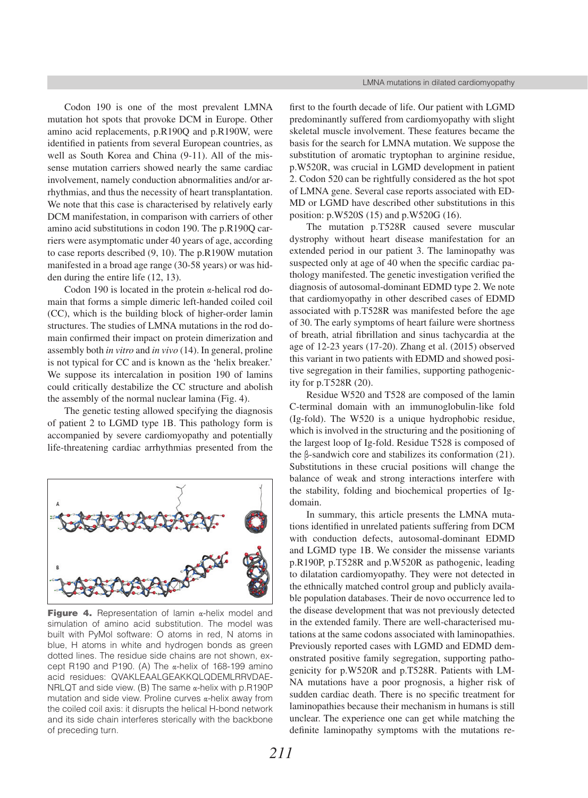Codon 190 is one of the most prevalent LMNA mutation hot spots that provoke DCM in Europe. Other amino acid replacements, p.R190Q and p.R190W, were identified in patients from several European countries, as well as South Korea and China (9-11). All of the missense mutation carriers showed nearly the same cardiac involvement, namely conduction abnormalities and/or arrhythmias, and thus the necessity of heart transplantation. We note that this case is characterised by relatively early DCM manifestation, in comparison with carriers of other amino acid substitutions in codon 190. The p.R190Q carriers were asymptomatic under 40 years of age, according to case reports described (9, 10). The p.R190W mutation manifested in a broad age range (30-58 years) or was hidden during the entire life (12, 13).

Codon 190 is located in the protein  $\alpha$ -helical rod domain that forms a simple dimeric left-handed coiled coil (CC), which is the building block of higher-order lamin structures. The studies of LMNA mutations in the rod domain confirmed their impact on protein dimerization and assembly both *in vitro* and *in vivo* (14). In general, proline is not typical for CC and is known as the 'helix breaker.' We suppose its intercalation in position 190 of lamins could critically destabilize the CC structure and abolish the assembly of the normal nuclear lamina (Fig. 4).

The genetic testing allowed specifying the diagnosis of patient 2 to LGMD type 1B. This pathology form is accompanied by severe cardiomyopathy and potentially life-threatening cardiac arrhythmias presented from the



**Figure 4.** Representation of lamin  $\alpha$ -helix model and simulation of amino acid substitution. The model was built with PyMol software: O atoms in red, N atoms in blue, H atoms in white and hydrogen bonds as green dotted lines. The residue side chains are not shown, except R190 and P190. (A) The  $\alpha$ -helix of 168-199 amino acid residues: QVAKLEAALGEAKKQLQDEMLRRVDAE-NRLQT and side view. (B) The same  $\alpha$ -helix with p.R190P mutation and side view. Proline curves α-helix away from the coiled coil axis: it disrupts the helical H-bond network and its side chain interferes sterically with the backbone of preceding turn.

first to the fourth decade of life. Our patient with LGMD predominantly suffered from cardiomyopathy with slight skeletal muscle involvement. These features became the basis for the search for LMNA mutation. We suppose the substitution of aromatic tryptophan to arginine residue, p.W520R, was crucial in LGMD development in patient 2. Codon 520 can be rightfully considered as the hot spot of LMNA gene. Several case reports associated with ED-MD or LGMD have described other substitutions in this position: p.W520S (15) and p.W520G (16).

The mutation p.T528R caused severe muscular dystrophy without heart disease manifestation for an extended period in our patient 3. The laminopathy was suspected only at age of 40 when the specific cardiac pathology manifested. The genetic investigation verified the diagnosis of autosomal-dominant EDMD type 2. We note that cardiomyopathy in other described cases of EDMD associated with p.Т528R was manifested before the age of 30. The early symptoms of heart failure were shortness of breath, atrial fibrillation and sinus tachycardia at the age of 12-23 years (17-20). Zhang et al. (2015) observed this variant in two patients with EDMD and showed positive segregation in their families, supporting pathogenicity for p.Т528R (20).

Residue W520 and T528 are composed of the lamin C-terminal domain with an immunoglobulin-like fold (Ig-fold). The W520 is a unique hydrophobic residue, which is involved in the structuring and the positioning of the largest loop of Ig-fold. Residue T528 is composed of the β-sandwich core and stabilizes its conformation (21). Substitutions in these crucial positions will change the balance of weak and strong interactions interfere with the stability, folding and biochemical properties of Igdomain.

In summary, this article presents the LMNA mutations identified in unrelated patients suffering from DCM with conduction defects, autosomal-dominant EDMD and LGMD type 1B. We consider the missense variants p.R190P, p.Т528R and p.W520R as pathogenic, leading to dilatation cardiomyopathy. They were not detected in the ethnically matched control group and publicly available population databases. Their de novo occurrence led to the disease development that was not previously detected in the extended family. There are well-characterised mutations at the same codons associated with laminopathies. Previously reported cases with LGMD and EDMD demonstrated positive family segregation, supporting pathogenicity for p.W520R and p.T528R. Patients with LM-NA mutations have a poor prognosis, a higher risk of sudden cardiac death. There is no specific treatment for laminopathies because their mechanism in humans is still unclear. The experience one can get while matching the definite laminopathy symptoms with the mutations re